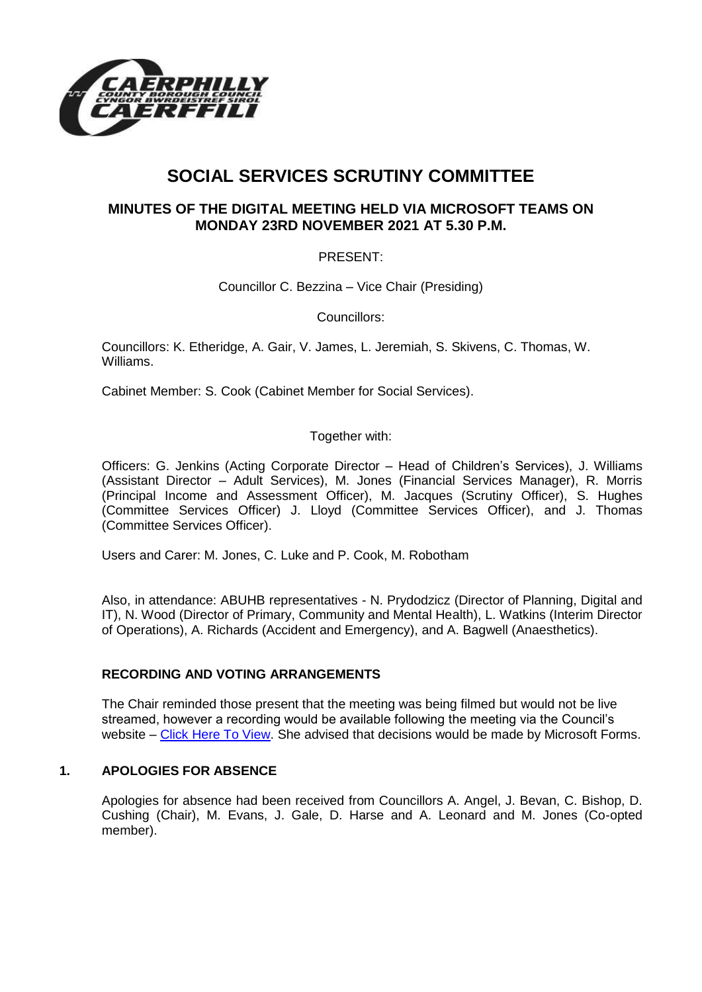

# **SOCIAL SERVICES SCRUTINY COMMITTEE**

# **MINUTES OF THE DIGITAL MEETING HELD VIA MICROSOFT TEAMS ON MONDAY 23RD NOVEMBER 2021 AT 5.30 P.M.**

# PRESENT:

Councillor C. Bezzina – Vice Chair (Presiding)

Councillors:

Councillors: K. Etheridge, A. Gair, V. James, L. Jeremiah, S. Skivens, C. Thomas, W. Williams.

Cabinet Member: S. Cook (Cabinet Member for Social Services).

# Together with:

Officers: G. Jenkins (Acting Corporate Director – Head of Children's Services), J. Williams (Assistant Director – Adult Services), M. Jones (Financial Services Manager), R. Morris (Principal Income and Assessment Officer), M. Jacques (Scrutiny Officer), S. Hughes (Committee Services Officer) J. Lloyd (Committee Services Officer), and J. Thomas (Committee Services Officer).

Users and Carer: M. Jones, C. Luke and P. Cook, M. Robotham

Also, in attendance: ABUHB representatives - N. Prydodzicz (Director of Planning, Digital and IT), N. Wood (Director of Primary, Community and Mental Health), L. Watkins (Interim Director of Operations), A. Richards (Accident and Emergency), and A. Bagwell (Anaesthetics).

# **RECORDING AND VOTING ARRANGEMENTS**

The Chair reminded those present that the meeting was being filmed but would not be live streamed, however a recording would be available following the meeting via the Council's website – [Click Here To View.](https://www.caerphilly.gov.uk/My-Council/Meetings,-agendas,-minutes-and-reports/Council-meetings) She advised that decisions would be made by Microsoft Forms.

# **1. APOLOGIES FOR ABSENCE**

Apologies for absence had been received from Councillors A. Angel, J. Bevan, C. Bishop, D. Cushing (Chair), M. Evans, J. Gale, D. Harse and A. Leonard and M. Jones (Co-opted member).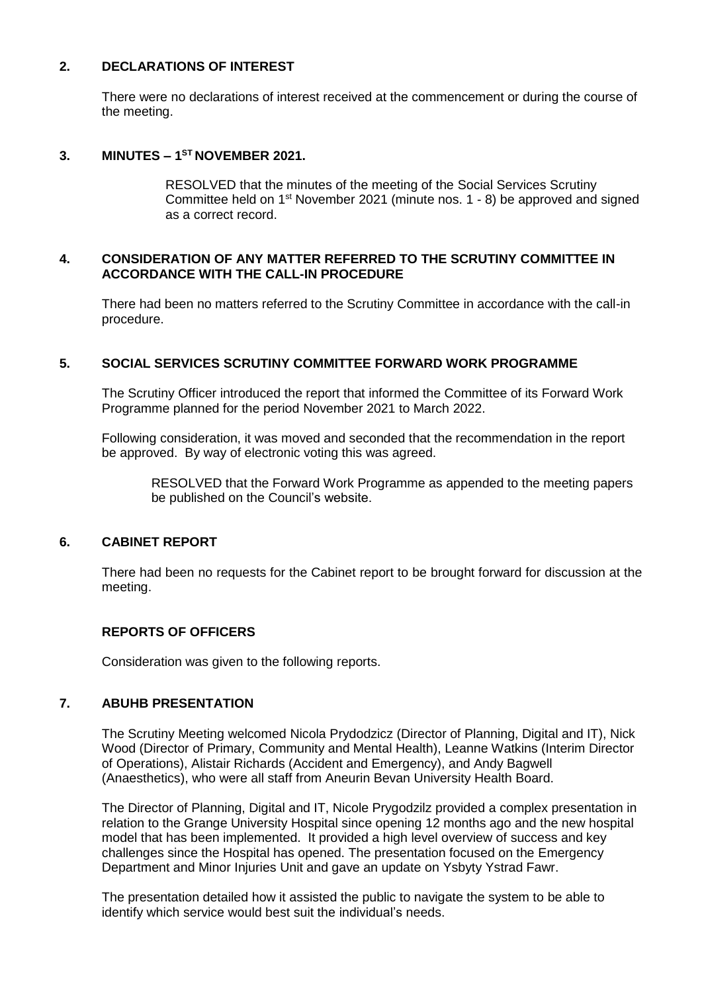### **2. DECLARATIONS OF INTEREST**

There were no declarations of interest received at the commencement or during the course of the meeting.

### **3. MINUTES – 1 ST NOVEMBER 2021.**

RESOLVED that the minutes of the meeting of the Social Services Scrutiny Committee held on  $1<sup>st</sup>$  November 2021 (minute nos.  $1 - 8$ ) be approved and signed as a correct record.

#### **4. CONSIDERATION OF ANY MATTER REFERRED TO THE SCRUTINY COMMITTEE IN ACCORDANCE WITH THE CALL-IN PROCEDURE**

There had been no matters referred to the Scrutiny Committee in accordance with the call-in procedure.

#### **5. SOCIAL SERVICES SCRUTINY COMMITTEE FORWARD WORK PROGRAMME**

The Scrutiny Officer introduced the report that informed the Committee of its Forward Work Programme planned for the period November 2021 to March 2022.

Following consideration, it was moved and seconded that the recommendation in the report be approved. By way of electronic voting this was agreed.

RESOLVED that the Forward Work Programme as appended to the meeting papers be published on the Council's website.

#### **6. CABINET REPORT**

There had been no requests for the Cabinet report to be brought forward for discussion at the meeting.

# **REPORTS OF OFFICERS**

Consideration was given to the following reports.

# **7. ABUHB PRESENTATION**

The Scrutiny Meeting welcomed Nicola Prydodzicz (Director of Planning, Digital and IT), Nick Wood (Director of Primary, Community and Mental Health), Leanne Watkins (Interim Director of Operations), Alistair Richards (Accident and Emergency), and Andy Bagwell (Anaesthetics), who were all staff from Aneurin Bevan University Health Board.

The Director of Planning, Digital and IT, Nicole Prygodzilz provided a complex presentation in relation to the Grange University Hospital since opening 12 months ago and the new hospital model that has been implemented. It provided a high level overview of success and key challenges since the Hospital has opened. The presentation focused on the Emergency Department and Minor Injuries Unit and gave an update on Ysbyty Ystrad Fawr.

The presentation detailed how it assisted the public to navigate the system to be able to identify which service would best suit the individual's needs.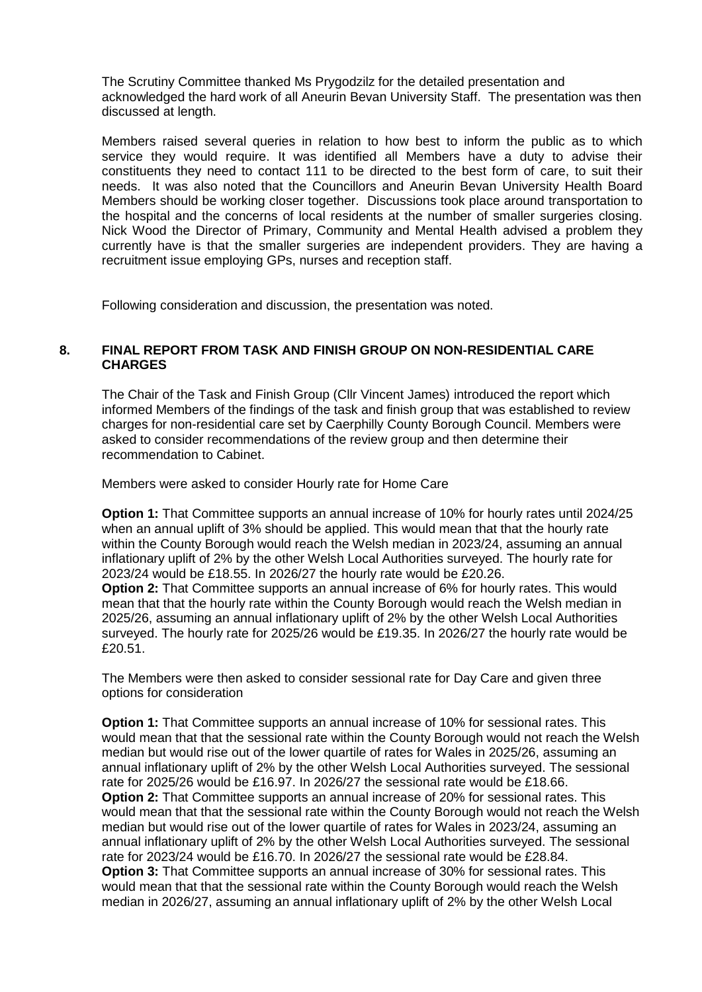The Scrutiny Committee thanked Ms Prygodzilz for the detailed presentation and acknowledged the hard work of all Aneurin Bevan University Staff. The presentation was then discussed at length.

Members raised several queries in relation to how best to inform the public as to which service they would require. It was identified all Members have a duty to advise their constituents they need to contact 111 to be directed to the best form of care, to suit their needs. It was also noted that the Councillors and Aneurin Bevan University Health Board Members should be working closer together. Discussions took place around transportation to the hospital and the concerns of local residents at the number of smaller surgeries closing. Nick Wood the Director of Primary, Community and Mental Health advised a problem they currently have is that the smaller surgeries are independent providers. They are having a recruitment issue employing GPs, nurses and reception staff.

Following consideration and discussion, the presentation was noted.

# **8. FINAL REPORT FROM TASK AND FINISH GROUP ON NON-RESIDENTIAL CARE CHARGES**

The Chair of the Task and Finish Group (Cllr Vincent James) introduced the report which informed Members of the findings of the task and finish group that was established to review charges for non-residential care set by Caerphilly County Borough Council. Members were asked to consider recommendations of the review group and then determine their recommendation to Cabinet.

Members were asked to consider Hourly rate for Home Care

**Option 1:** That Committee supports an annual increase of 10% for hourly rates until 2024/25 when an annual uplift of 3% should be applied. This would mean that that the hourly rate within the County Borough would reach the Welsh median in 2023/24, assuming an annual inflationary uplift of 2% by the other Welsh Local Authorities surveyed. The hourly rate for 2023/24 would be £18.55. In 2026/27 the hourly rate would be £20.26.

**Option 2:** That Committee supports an annual increase of 6% for hourly rates. This would mean that that the hourly rate within the County Borough would reach the Welsh median in 2025/26, assuming an annual inflationary uplift of 2% by the other Welsh Local Authorities surveyed. The hourly rate for 2025/26 would be £19.35. In 2026/27 the hourly rate would be £20.51.

The Members were then asked to consider sessional rate for Day Care and given three options for consideration

**Option 1:** That Committee supports an annual increase of 10% for sessional rates. This would mean that that the sessional rate within the County Borough would not reach the Welsh median but would rise out of the lower quartile of rates for Wales in 2025/26, assuming an annual inflationary uplift of 2% by the other Welsh Local Authorities surveyed. The sessional rate for 2025/26 would be £16.97. In 2026/27 the sessional rate would be £18.66. **Option 2:** That Committee supports an annual increase of 20% for sessional rates. This would mean that that the sessional rate within the County Borough would not reach the Welsh median but would rise out of the lower quartile of rates for Wales in 2023/24, assuming an annual inflationary uplift of 2% by the other Welsh Local Authorities surveyed. The sessional rate for 2023/24 would be £16.70. In 2026/27 the sessional rate would be £28.84. **Option 3:** That Committee supports an annual increase of 30% for sessional rates. This would mean that that the sessional rate within the County Borough would reach the Welsh median in 2026/27, assuming an annual inflationary uplift of 2% by the other Welsh Local